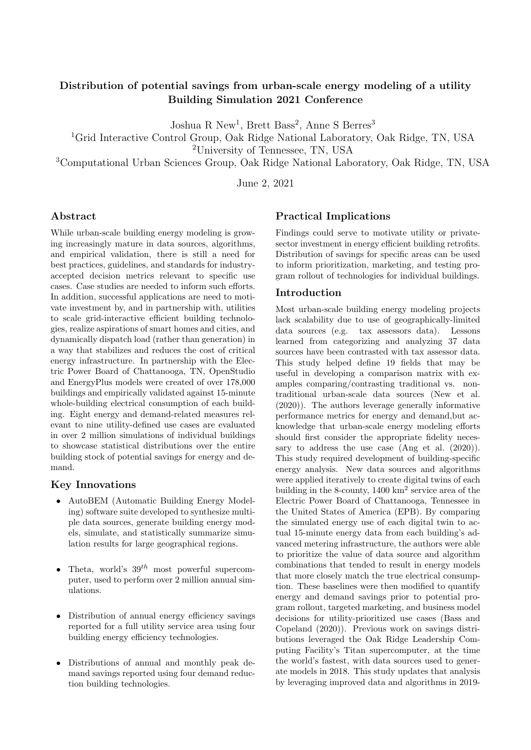# Distribution of potential savings from urban-scale energy modeling of a utility Building Simulation 2021 Conference

Joshua R New<sup>1</sup>, Brett Bass<sup>2</sup>, Anne S Berres<sup>3</sup>

<sup>1</sup>Grid Interactive Control Group, Oak Ridge National Laboratory, Oak Ridge, TN, USA

<sup>2</sup>University of Tennessee, TN, USA

<sup>3</sup>Computational Urban Sciences Group, Oak Ridge National Laboratory, Oak Ridge, TN, USA

June 2, 2021

## Abstract

While urban-scale building energy modeling is growing increasingly mature in data sources, algorithms, and empirical validation, there is still a need for best practices, guidelines, and standards for industryaccepted decision metrics relevant to specific use cases. Case studies are needed to inform such efforts. In addition, successful applications are need to motivate investment by, and in partnership with, utilities to scale grid-interactive efficient building technologies, realize aspirations of smart homes and cities, and dynamically dispatch load (rather than generation) in a way that stabilizes and reduces the cost of critical energy infrastructure. In partnership with the Electric Power Board of Chattanooga, TN, OpenStudio and EnergyPlus models were created of over 178,000 buildings and empirically validated against 15-minute whole-building electrical consumption of each building. Eight energy and demand-related measures relevant to nine utility-defined use cases are evaluated in over 2 million simulations of individual buildings to showcase statistical distributions over the entire building stock of potential savings for energy and demand.

### Key Innovations

- AutoBEM (Automatic Building Energy Modeling) software suite developed to synthesize multiple data sources, generate building energy models, simulate, and statistically summarize simulation results for large geographical regions.
- Theta, world's  $39^{th}$  most powerful supercomputer, used to perform over 2 million annual simulations.
- Distribution of annual energy efficiency savings reported for a full utility service area using four building energy efficiency technologies.
- Distributions of annual and monthly peak demand savings reported using four demand reduction building technologies.

### Practical Implications

Findings could serve to motivate utility or privatesector investment in energy efficient building retrofits. Distribution of savings for specific areas can be used to inform prioritization, marketing, and testing program rollout of technologies for individual buildings.

#### Introduction

Most urban-scale building energy modeling projects lack scalability due to use of geographically-limited data sources (e.g. tax assessors data). Lessons learned from categorizing and analyzing 37 data sources have been contrasted with tax assessor data. This study helped define 19 fields that may be useful in developing a comparison matrix with examples comparing/contrasting traditional vs. nontraditional urban-scale data sources [\(New et al.](#page-8-0) [\(2020\)](#page-8-0)). The authors leverage generally informative performance metrics for energy and demand,but acknowledge that urban-scale energy modeling efforts should first consider the appropriate fidelity neces-sary to address the use case [\(Ang et al.](#page-8-1)  $(2020)$ ). This study required development of building-specific energy analysis. New data sources and algorithms were applied iteratively to create digital twins of each building in the 8-county, 1400 km<sup>2</sup> service area of the Electric Power Board of Chattanooga, Tennessee in the United States of America (EPB). By comparing the simulated energy use of each digital twin to actual 15-minute energy data from each building's advanced metering infrastructure, the authors were able to prioritize the value of data source and algorithm combinations that tended to result in energy models that more closely match the true electrical consumption. These baselines were then modified to quantify energy and demand savings prior to potential program rollout, targeted marketing, and business model decisions for utility-prioritized use cases [\(Bass and](#page-8-2) [Copeland](#page-8-2) [\(2020\)](#page-8-2)). Previous work on savings distributions leveraged the Oak Ridge Leadership Computing Facility's Titan supercomputer, at the time the world's fastest, with data sources used to generate models in 2018. This study updates that analysis by leveraging improved data and algorithms in 2019-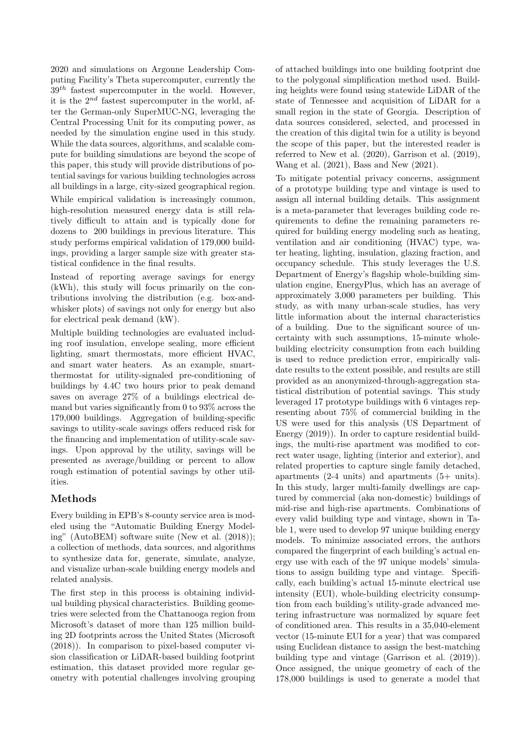2020 and simulations on Argonne Leadership Computing Facility's Theta supercomputer, currently the  $39<sup>th</sup>$  fastest supercomputer in the world. However, it is the  $2^{nd}$  fastest supercomputer in the world, after the German-only SuperMUC-NG, leveraging the Central Processing Unit for its computing power, as needed by the simulation engine used in this study. While the data sources, algorithms, and scalable compute for building simulations are beyond the scope of this paper, this study will provide distributions of potential savings for various building technologies across all buildings in a large, city-sized geographical region.

While empirical validation is increasingly common, high-resolution measured energy data is still relatively difficult to attain and is typically done for dozens to 200 buildings in previous literature. This study performs empirical validation of 179,000 buildings, providing a larger sample size with greater statistical confidence in the final results.

Instead of reporting average savings for energy (kWh), this study will focus primarily on the contributions involving the distribution (e.g. box-andwhisker plots) of savings not only for energy but also for electrical peak demand (kW).

Multiple building technologies are evaluated including roof insulation, envelope sealing, more efficient lighting, smart thermostats, more efficient HVAC, and smart water heaters. As an example, smartthermostat for utility-signaled pre-conditioning of buildings by 4.4C two hours prior to peak demand saves on average 27% of a buildings electrical demand but varies significantly from 0 to 93% across the 179,000 buildings. Aggregation of building-specific savings to utility-scale savings offers reduced risk for the financing and implementation of utility-scale savings. Upon approval by the utility, savings will be presented as average/building or percent to allow rough estimation of potential savings by other utilities.

### Methods

Every building in EPB's 8-county service area is modeled using the "Automatic Building Energy Modeling" (AutoBEM) software suite [\(New et al.](#page-8-3) [\(2018\)](#page-8-3)); a collection of methods, data sources, and algorithms to synthesize data for, generate, simulate, analyze, and visualize urban-scale building energy models and related analysis.

The first step in this process is obtaining individual building physical characteristics. Building geometries were selected from the Chattanooga region from Microsoft's dataset of more than 125 million building 2D footprints across the United States [\(Microsoft](#page-8-4) [\(2018\)](#page-8-4)). In comparison to pixel-based computer vision classification or LiDAR-based building footprint estimation, this dataset provided more regular geometry with potential challenges involving grouping of attached buildings into one building footprint due to the polygonal simplification method used. Building heights were found using statewide LiDAR of the state of Tennessee and acquisition of LiDAR for a small region in the state of Georgia. Description of data sources considered, selected, and processed in the creation of this digital twin for a utility is beyond the scope of this paper, but the interested reader is referred to [New et al.](#page-8-0) [\(2020\)](#page-8-0), [Garrison et al.](#page-8-5) [\(2019\)](#page-8-5), [Wang et al.](#page-8-6) [\(2021\)](#page-8-6), [Bass and New](#page-8-7) [\(2021\)](#page-8-7).

To mitigate potential privacy concerns, assignment of a prototype building type and vintage is used to assign all internal building details. This assignment is a meta-parameter that leverages building code requirements to define the remaining parameters required for building energy modeling such as heating, ventilation and air conditioning (HVAC) type, water heating, lighting, insulation, glazing fraction, and occupancy schedule. This study leverages the U.S. Department of Energy's flagship whole-building simulation engine, EnergyPlus, which has an average of approximately 3,000 parameters per building. This study, as with many urban-scale studies, has very little information about the internal characteristics of a building. Due to the significant source of uncertainty with such assumptions, 15-minute wholebuilding electricity consumption from each building is used to reduce prediction error, empirically validate results to the extent possible, and results are still provided as an anonymized-through-aggregation statistical distribution of potential savings. This study leveraged 17 prototype buildings with 6 vintages representing about 75% of commercial building in the US were used for this analysis [\(US Department of](#page-8-8) [Energy](#page-8-8) [\(2019\)](#page-8-8)). In order to capture residential buildings, the multi-rise apartment was modified to correct water usage, lighting (interior and exterior), and related properties to capture single family detached, apartments (2-4 units) and apartments (5+ units). In this study, larger multi-family dwellings are captured by commercial (aka non-domestic) buildings of mid-rise and high-rise apartments. Combinations of every valid building type and vintage, shown in Table [1,](#page-2-0) were used to develop 97 unique building energy models. To minimize associated errors, the authors compared the fingerprint of each building's actual energy use with each of the 97 unique models' simulations to assign building type and vintage. Specifically, each building's actual 15-minute electrical use intensity (EUI), whole-building electricity consumption from each building's utility-grade advanced metering infrastructure was normalized by square feet of conditioned area. This results in a 35,040-element vector (15-minute EUI for a year) that was compared using Euclidean distance to assign the best-matching building type and vintage [\(Garrison et al.](#page-8-5) [\(2019\)](#page-8-5)). Once assigned, the unique geometry of each of the 178,000 buildings is used to generate a model that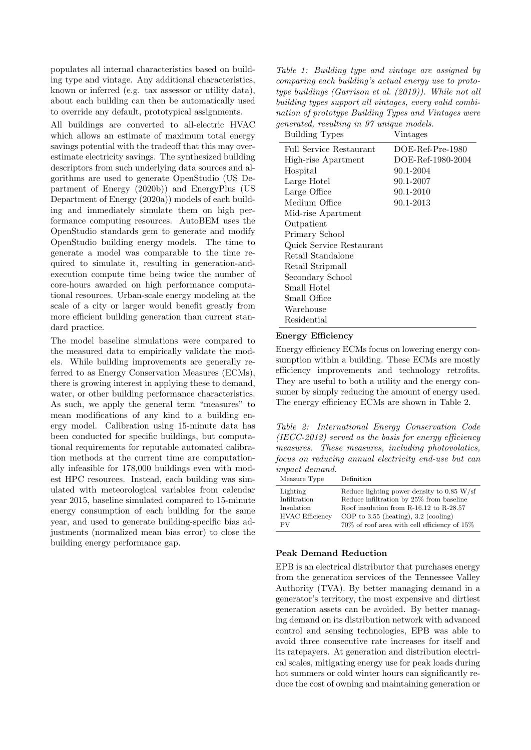populates all internal characteristics based on building type and vintage. Any additional characteristics, known or inferred (e.g. tax assessor or utility data), about each building can then be automatically used to override any default, prototypical assignments.

All buildings are converted to all-electric HVAC which allows an estimate of maximum total energy savings potential with the tradeoff that this may overestimate electricity savings. The synthesized building descriptors from such underlying data sources and algorithms are used to generate OpenStudio [\(US De](#page-8-9)[partment of Energy](#page-8-9) [\(2020b\)](#page-8-9)) and EnergyPlus [\(US](#page-8-10) [Department of Energy](#page-8-10) [\(2020a\)](#page-8-10)) models of each building and immediately simulate them on high performance computing resources. AutoBEM uses the OpenStudio standards gem to generate and modify OpenStudio building energy models. The time to generate a model was comparable to the time required to simulate it, resulting in generation-andexecution compute time being twice the number of core-hours awarded on high performance computational resources. Urban-scale energy modeling at the scale of a city or larger would benefit greatly from more efficient building generation than current standard practice.

The model baseline simulations were compared to the measured data to empirically validate the models. While building improvements are generally referred to as Energy Conservation Measures (ECMs), there is growing interest in applying these to demand, water, or other building performance characteristics. As such, we apply the general term "measures" to mean modifications of any kind to a building energy model. Calibration using 15-minute data has been conducted for specific buildings, but computational requirements for reputable automated calibration methods at the current time are computationally infeasible for 178,000 buildings even with modest HPC resources. Instead, each building was simulated with meteorological variables from calendar year 2015, baseline simulated compared to 15-minute energy consumption of each building for the same year, and used to generate building-specific bias adjustments (normalized mean bias error) to close the building energy performance gap.

<span id="page-2-0"></span>Table 1: Building type and vintage are assigned by comparing each building's actual energy use to prototype buildings [\(Garrison et al.](#page-8-5) [\(2019\)](#page-8-5)). While not all building types support all vintages, every valid combination of prototype Building Types and Vintages were generated, resulting in 97 unique models.<br>Building Types

| <b>Building Types</b>    | Vintages           |
|--------------------------|--------------------|
| Full Service Restaurant  | $DOE-Ref-Pre-1980$ |
| High-rise Apartment      | DOE-Ref-1980-2004  |
| Hospital                 | 90.1-2004          |
| Large Hotel              | 90.1-2007          |
| Large Office             | 90.1-2010          |
| Medium Office            | 90.1-2013          |
| Mid-rise Apartment       |                    |
| Outpatient               |                    |
| Primary School           |                    |
| Quick Service Restaurant |                    |
| Retail Standalone        |                    |
| Retail Stripmall         |                    |
| Secondary School         |                    |
| Small Hotel              |                    |
| Small Office             |                    |
| Warehouse                |                    |
| Residential              |                    |

#### Energy Efficiency

Energy efficiency ECMs focus on lowering energy consumption within a building. These ECMs are mostly efficiency improvements and technology retrofits. They are useful to both a utility and the energy consumer by simply reducing the amount of energy used. The energy efficiency ECMs are shown in Table [2.](#page-2-1)

<span id="page-2-1"></span>Table 2: International Energy Conservation Code  $(IECC-2012)$  served as the basis for energy efficiency measures. These measures, including photovolatics, focus on reducing annual electricity end-use but can impact demand.

| Reduce lighting power density to $0.85 \text{ W/sf}$ |
|------------------------------------------------------|
| Reduce infiltration by 25% from baseline             |
| Roof insulation from R-16.12 to R-28.57              |
| COP to $3.55$ (heating), $3.2$ (cooling)             |
| $70\%$ of roof area with cell efficiency of $15\%$   |
|                                                      |

### Peak Demand Reduction

EPB is an electrical distributor that purchases energy from the generation services of the Tennessee Valley Authority (TVA). By better managing demand in a generator's territory, the most expensive and dirtiest generation assets can be avoided. By better managing demand on its distribution network with advanced control and sensing technologies, EPB was able to avoid three consecutive rate increases for itself and its ratepayers. At generation and distribution electrical scales, mitigating energy use for peak loads during hot summers or cold winter hours can significantly reduce the cost of owning and maintaining generation or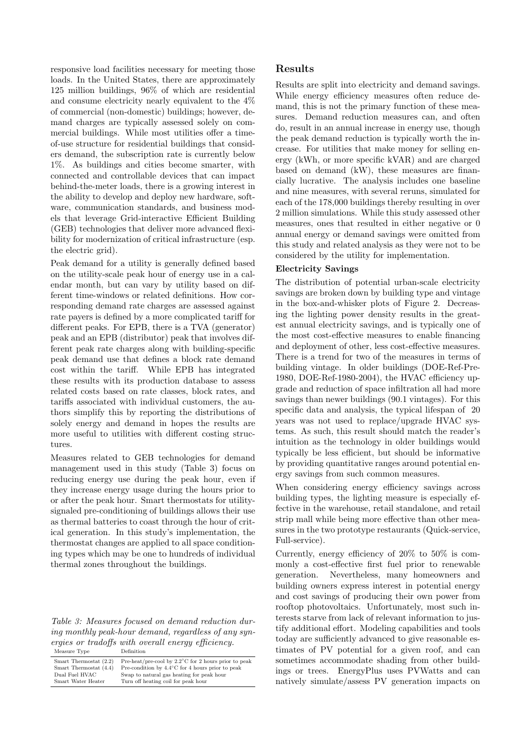responsive load facilities necessary for meeting those loads. In the United States, there are approximately 125 million buildings, 96% of which are residential and consume electricity nearly equivalent to the 4% of commercial (non-domestic) buildings; however, demand charges are typically assessed solely on commercial buildings. While most utilities offer a timeof-use structure for residential buildings that considers demand, the subscription rate is currently below 1%. As buildings and cities become smarter, with connected and controllable devices that can impact behind-the-meter loads, there is a growing interest in the ability to develop and deploy new hardware, software, communication standards, and business models that leverage Grid-interactive Efficient Building (GEB) technologies that deliver more advanced flexibility for modernization of critical infrastructure (esp. the electric grid).

Peak demand for a utility is generally defined based on the utility-scale peak hour of energy use in a calendar month, but can vary by utility based on different time-windows or related definitions. How corresponding demand rate charges are assessed against rate payers is defined by a more complicated tariff for different peaks. For EPB, there is a TVA (generator) peak and an EPB (distributor) peak that involves different peak rate charges along with building-specific peak demand use that defines a block rate demand cost within the tariff. While EPB has integrated these results with its production database to assess related costs based on rate classes, block rates, and tariffs associated with individual customers, the authors simplify this by reporting the distributions of solely energy and demand in hopes the results are more useful to utilities with different costing structures.

Measures related to GEB technologies for demand management used in this study (Table [3\)](#page-3-0) focus on reducing energy use during the peak hour, even if they increase energy usage during the hours prior to or after the peak hour. Smart thermostats for utilitysignaled pre-conditioning of buildings allows their use as thermal batteries to coast through the hour of critical generation. In this study's implementation, the thermostat changes are applied to all space conditioning types which may be one to hundreds of individual thermal zones throughout the buildings.

<span id="page-3-0"></span>Table 3: Measures focused on demand reduction during monthly peak-hour demand, regardless of any synergies or tradoffs with overall energy efficiency.

| Measure Type                                     | Definition                                                                                                                   |
|--------------------------------------------------|------------------------------------------------------------------------------------------------------------------------------|
| Smart Thermostat (2.2)<br>Smart Thermostat (4.4) | Pre-heat/pre-cool by $2.2^{\circ}$ C for 2 hours prior to peak<br>Pre-condition by $4.4^{\circ}$ C for 4 hours prior to peak |
| Dual Fuel HVAC                                   | Swap to natural gas heating for peak hour                                                                                    |
| Smart Water Heater                               | Turn off heating coil for peak hour                                                                                          |

# Results

Results are split into electricity and demand savings. While energy efficiency measures often reduce demand, this is not the primary function of these measures. Demand reduction measures can, and often do, result in an annual increase in energy use, though the peak demand reduction is typically worth the increase. For utilities that make money for selling energy (kWh, or more specific kVAR) and are charged based on demand (kW), these measures are financially lucrative. The analysis includes one baseline and nine measures, with several reruns, simulated for each of the 178,000 buildings thereby resulting in over 2 million simulations. While this study assessed other measures, ones that resulted in either negative or 0 annual energy or demand savings were omitted from this study and related analysis as they were not to be considered by the utility for implementation.

### Electricity Savings

The distribution of potential urban-scale electricity savings are broken down by building type and vintage in the box-and-whisker plots of Figure [2.](#page-4-0) Decreasing the lighting power density results in the greatest annual electricity savings, and is typically one of the most cost-effective measures to enable financing and deployment of other, less cost-effective measures. There is a trend for two of the measures in terms of building vintage. In older buildings (DOE-Ref-Pre-1980, DOE-Ref-1980-2004), the HVAC efficiency upgrade and reduction of space infiltration all had more savings than newer buildings (90.1 vintages). For this specific data and analysis, the typical lifespan of 20 years was not used to replace/upgrade HVAC systems. As such, this result should match the reader's intuition as the technology in older buildings would typically be less efficient, but should be informative by providing quantitative ranges around potential energy savings from such common measures.

When considering energy efficiency savings across building types, the lighting measure is especially effective in the warehouse, retail standalone, and retail strip mall while being more effective than other measures in the two prototype restaurants (Quick-service, Full-service).

Currently, energy efficiency of 20% to 50% is commonly a cost-effective first fuel prior to renewable generation. Nevertheless, many homeowners and building owners express interest in potential energy and cost savings of producing their own power from rooftop photovoltaics. Unfortunately, most such interests starve from lack of relevant information to justify additional effort. Modeling capabilities and tools today are sufficiently advanced to give reasonable estimates of PV potential for a given roof, and can sometimes accommodate shading from other buildings or trees. EnergyPlus uses PVWatts and can natively simulate/assess PV generation impacts on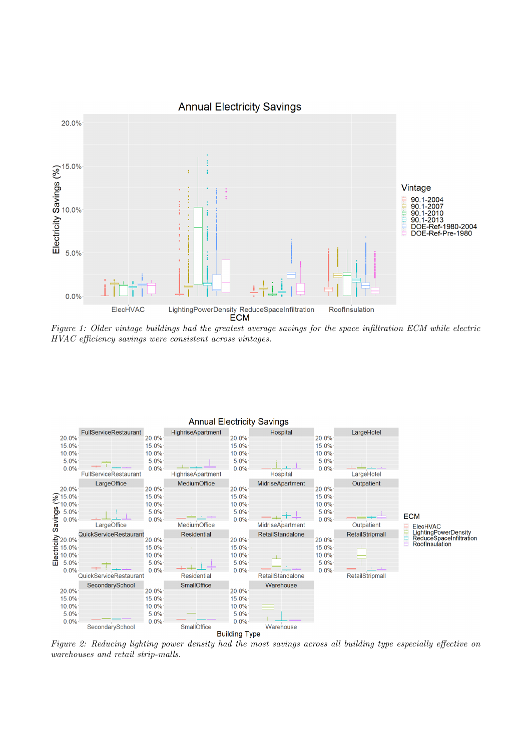

Figure 1: Older vintage buildings had the greatest average savings for the space infiltration ECM while electric HVAC efficiency savings were consistent across vintages.

<span id="page-4-0"></span>

Figure 2: Reducing lighting power density had the most savings across all building type especially effective on warehouses and retail strip-malls.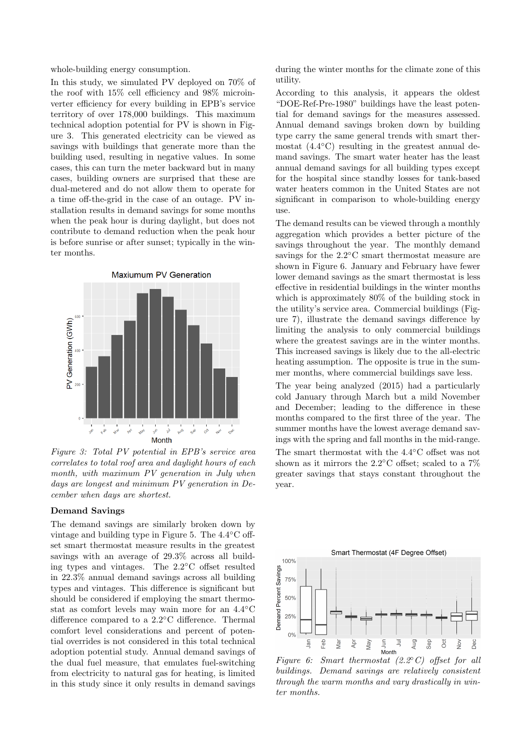whole-building energy consumption.

In this study, we simulated PV deployed on 70% of the roof with 15% cell efficiency and 98% microinverter efficiency for every building in EPB's service territory of over 178,000 buildings. This maximum technical adoption potential for PV is shown in Figure [3.](#page-5-0) This generated electricity can be viewed as savings with buildings that generate more than the building used, resulting in negative values. In some cases, this can turn the meter backward but in many cases, building owners are surprised that these are dual-metered and do not allow them to operate for a time off-the-grid in the case of an outage. PV installation results in demand savings for some months when the peak hour is during daylight, but does not contribute to demand reduction when the peak hour is before sunrise or after sunset; typically in the winter months.

<span id="page-5-0"></span>

Figure 3: Total PV potential in EPB's service area correlates to total roof area and daylight hours of each month, with maximum PV generation in July when days are longest and minimum PV generation in December when days are shortest.

#### Demand Savings

The demand savings are similarly broken down by vintage and building type in Figure [5.](#page-6-0) The 4.4◦C offset smart thermostat measure results in the greatest savings with an average of 29.3% across all building types and vintages. The 2.2◦C offset resulted in 22.3% annual demand savings across all building types and vintages. This difference is significant but should be considered if employing the smart thermostat as comfort levels may wain more for an 4.4◦C difference compared to a 2.2◦C difference. Thermal comfort level considerations and percent of potential overrides is not considered in this total technical adoption potential study. Annual demand savings of the dual fuel measure, that emulates fuel-switching from electricity to natural gas for heating, is limited in this study since it only results in demand savings

during the winter months for the climate zone of this utility.

According to this analysis, it appears the oldest "DOE-Ref-Pre-1980" buildings have the least potential for demand savings for the measures assessed. Annual demand savings broken down by building type carry the same general trends with smart thermostat (4.4◦C) resulting in the greatest annual demand savings. The smart water heater has the least annual demand savings for all building types except for the hospital since standby losses for tank-based water heaters common in the United States are not significant in comparison to whole-building energy use.

The demand results can be viewed through a monthly aggregation which provides a better picture of the savings throughout the year. The monthly demand savings for the 2.2◦C smart thermostat measure are shown in Figure [6.](#page-5-1) January and February have fewer lower demand savings as the smart thermostat is less effective in residential buildings in the winter months which is approximately 80% of the building stock in the utility's service area. Commercial buildings (Figure [7\)](#page-7-0), illustrate the demand savings difference by limiting the analysis to only commercial buildings where the greatest savings are in the winter months. This increased savings is likely due to the all-electric heating assumption. The opposite is true in the summer months, where commercial buildings save less.

The year being analyzed (2015) had a particularly cold January through March but a mild November and December; leading to the difference in these months compared to the first three of the year. The summer months have the lowest average demand savings with the spring and fall months in the mid-range. The smart thermostat with the 4.4◦C offset was not shown as it mirrors the 2.2◦C offset; scaled to a 7% greater savings that stays constant throughout the

year.

<span id="page-5-1"></span>

buildings. Demand savings are relatively consistent through the warm months and vary drastically in winter months.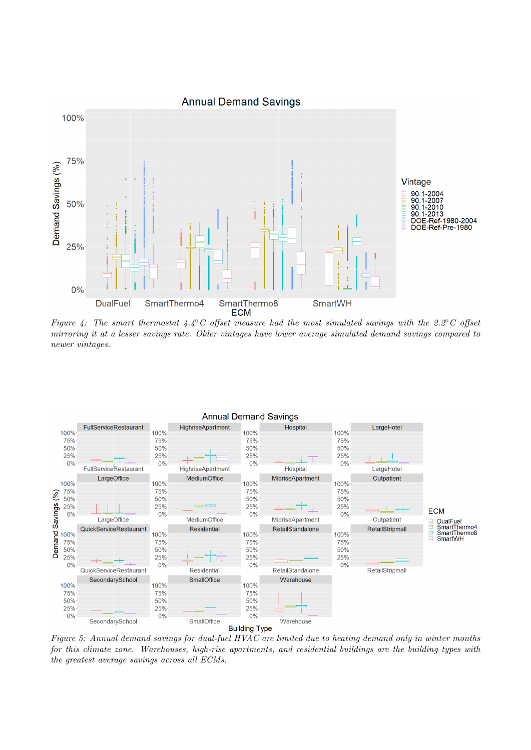

Figure 4: The smart thermostat 4.4℃ offset measure had the most simulated savings with the 2.2°C offset mirroring it at a lesser savings rate. Older vintages have lower average simulated demand savings compared to newer vintages.

<span id="page-6-0"></span>

Figure 5: Annual demand savings for dual-fuel HVAC are limited due to heating demand only in winter months for this climate zone. Warehouses, high-rise apartments, and residential buildings are the building types with the greatest average savings across all ECMs.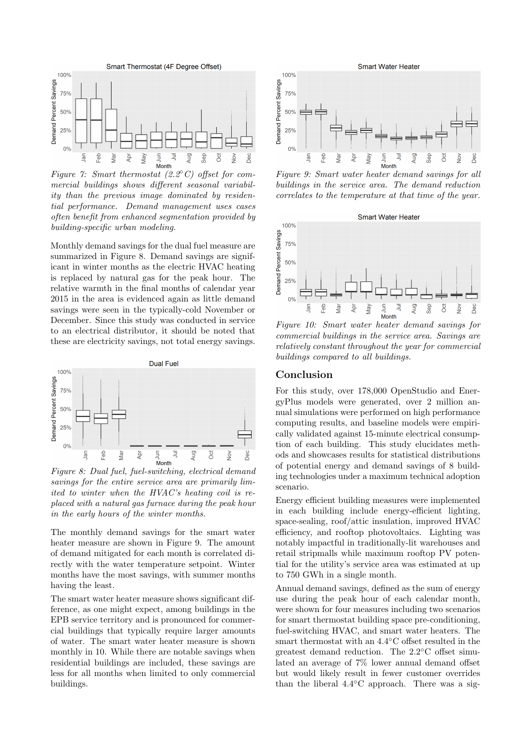<span id="page-7-0"></span>

mercial buildings shows different seasonal variability than the previous image dominated by residential performance. Demand management uses cases often benefit from enhanced segmentation provided by building-specific urban modeling.

Monthly demand savings for the dual fuel measure are summarized in Figure [8.](#page-7-1) Demand savings are significant in winter months as the electric HVAC heating is replaced by natural gas for the peak hour. The relative warmth in the final months of calendar year 2015 in the area is evidenced again as little demand savings were seen in the typically-cold November or December. Since this study was conducted in service to an electrical distributor, it should be noted that these are electricity savings, not total energy savings.

<span id="page-7-1"></span>

Figure 8: Dual fuel, fuel-switching, electrical demand savings for the entire service area are primarily limited to winter when the HVAC's heating coil is replaced with a natural gas furnace during the peak hour in the early hours of the winter months.

The monthly demand savings for the smart water heater measure are shown in Figure [9.](#page-7-2) The amount of demand mitigated for each month is correlated directly with the water temperature setpoint. Winter months have the most savings, with summer months having the least.

The smart water heater measure shows significant difference, as one might expect, among buildings in the EPB service territory and is pronounced for commercial buildings that typically require larger amounts of water. The smart water heater measure is shown monthly in [10.](#page-7-3) While there are notable savings when residential buildings are included, these savings are less for all months when limited to only commercial buildings.

<span id="page-7-2"></span>

buildings in the service area. The demand reduction correlates to the temperature at that time of the year.

<span id="page-7-3"></span>

Figure 10: Smart water heater demand savings for commercial buildings in the service area. Savings are relatively constant throughout the year for commercial buildings compared to all buildings.

#### Conclusion

For this study, over 178,000 OpenStudio and EnergyPlus models were generated, over 2 million annual simulations were performed on high performance computing results, and baseline models were empirically validated against 15-minute electrical consumption of each building. This study elucidates methods and showcases results for statistical distributions of potential energy and demand savings of 8 building technologies under a maximum technical adoption scenario.

Energy efficient building measures were implemented in each building include energy-efficient lighting, space-sealing, roof/attic insulation, improved HVAC efficiency, and rooftop photovoltaics. Lighting was notably impactful in traditionally-lit warehouses and retail stripmalls while maximum rooftop PV potential for the utility's service area was estimated at up to 750 GWh in a single month.

Annual demand savings, defined as the sum of energy use during the peak hour of each calendar month, were shown for four measures including two scenarios for smart thermostat building space pre-conditioning, fuel-switching HVAC, and smart water heaters. The smart thermostat with an 4.4◦C offset resulted in the greatest demand reduction. The 2.2◦C offset simulated an average of 7% lower annual demand offset but would likely result in fewer customer overrides than the liberal  $4.4°C$  approach. There was a sig-